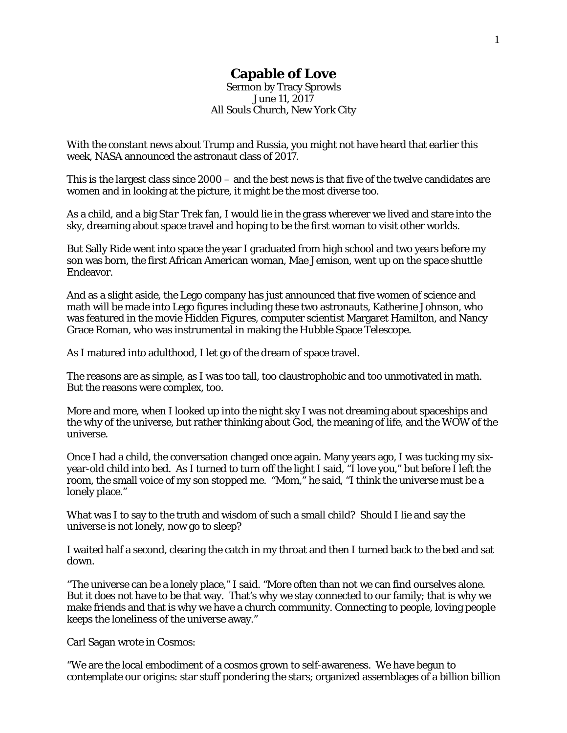## **Capable of Love**

Sermon by Tracy Sprowls June 11, 2017 All Souls Church, New York City

With the constant news about Trump and Russia, you might not have heard that earlier this week, NASA announced the astronaut class of 2017.

This is the largest class since 2000 – and the best news is that five of the twelve candidates are women and in looking at the picture, it might be the most diverse too.

As a child, and a big *Star Trek* fan, I would lie in the grass wherever we lived and stare into the sky, dreaming about space travel and hoping to be the first woman to visit other worlds.

But Sally Ride went into space the year I graduated from high school and two years before my son was born, the first African American woman, Mae Jemison, went up on the space shuttle Endeavor.

And as a slight aside, the Lego company has just announced that five women of science and math will be made into Lego figures including these two astronauts, Katherine Johnson, who was featured in the movie *Hidden Figures*, computer scientist Margaret Hamilton, and Nancy Grace Roman, who was instrumental in making the Hubble Space Telescope.

As I matured into adulthood, I let go of the dream of space travel.

The reasons are as simple, as I was too tall, too claustrophobic and too unmotivated in math. But the reasons were complex, too.

More and more, when I looked up into the night sky I was not dreaming about spaceships and the why of the universe, but rather thinking about God, the meaning of life, and the WOW of the universe.

Once I had a child, the conversation changed once again. Many years ago, I was tucking my sixyear-old child into bed. As I turned to turn off the light I said, "I love you," but before I left the room, the small voice of my son stopped me. "Mom," he said, "I think the universe must be a lonely place."

What was I to say to the truth and wisdom of such a small child? Should I lie and say the universe is not lonely, now go to sleep?

I waited half a second, clearing the catch in my throat and then I turned back to the bed and sat down.

"The universe can be a lonely place," I said. "More often than not we can find ourselves alone. But it does not have to be that way. That's why we stay connected to our family; that is why we make friends and that is why we have a church community. Connecting to people, loving people keeps the loneliness of the universe away."

Carl Sagan wrote in *Cosmos*:

"We are the local embodiment of a cosmos grown to self-awareness. We have begun to contemplate our origins: star stuff pondering the stars; organized assemblages of a billion billion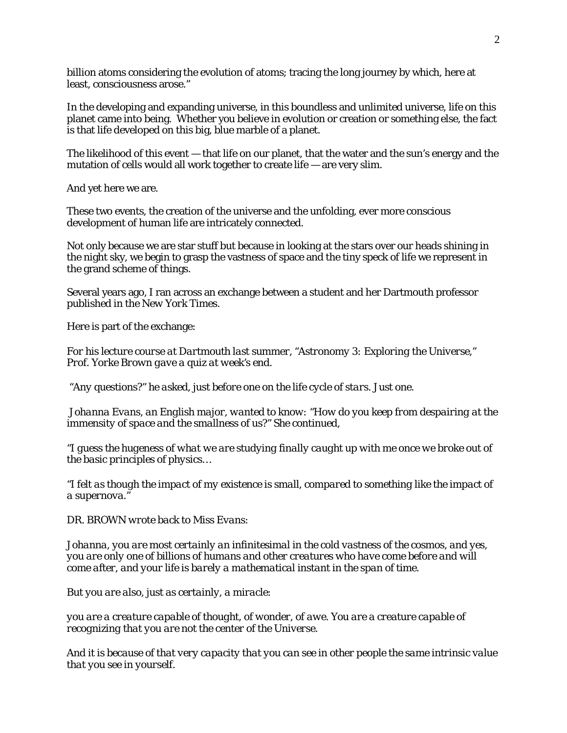billion atoms considering the evolution of atoms; tracing the long journey by which, here at least, consciousness arose."

In the developing and expanding universe, in this boundless and unlimited universe, life on this planet came into being. Whether you believe in evolution or creation or something else, the fact is that life developed on this big, blue marble of a planet.

The likelihood of this event — that life on our planet, that the water and the sun's energy and the mutation of cells would all work together to create life — are very slim.

And yet here we are.

These two events, the creation of the universe and the unfolding, ever more conscious development of human life are intricately connected.

Not only because we are star stuff but because in looking at the stars over our heads shining in the night sky, we begin to grasp the vastness of space and the tiny speck of life we represent in the grand scheme of things.

Several years ago, I ran across an exchange between a student and her Dartmouth professor published in the *New York Times*.

Here is part of the exchange:

*For his lecture course at Dartmouth last summer, "Astronomy 3: Exploring the Universe," Prof. Yorke Brown gave a quiz at week's end.*

*"Any questions?" he asked, just before one on the life cycle of stars. Just one.* 

*Johanna Evans, an English major, wanted to know: "How do you keep from despairing at the immensity of space and the smallness of us?" She continued,*

*"I guess the hugeness of what we are studying finally caught up with me once we broke out of the basic principles of physics…*

*"I felt as though the impact of my existence is small, compared to something like the impact of a supernova."*

*DR. BROWN wrote back to Miss Evans:* 

*Johanna, you are most certainly an infinitesimal in the cold vastness of the cosmos, and yes, you are only one of billions of humans and other creatures who have come before and will come after, and your life is barely a mathematical instant in the span of time.* 

*But you are also, just as certainly, a miracle:* 

*you are a creature capable of thought, of wonder, of awe. You are a creature capable of recognizing that you are not the center of the Universe.* 

*And it is because of that very capacity that you can see in other people the same intrinsic value that you see in yourself.*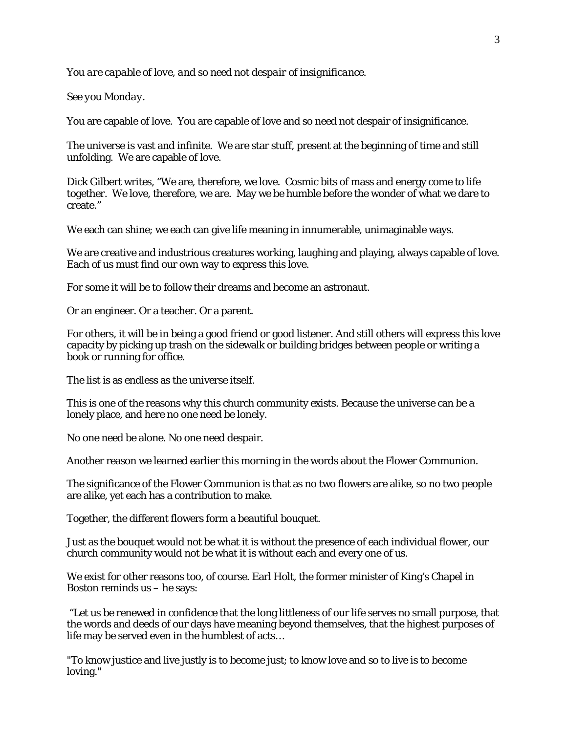*You are capable of love, and so need not despair of insignificance.* 

*See you Monday.*

You are capable of love. You are capable of love and so need not despair of insignificance.

The universe is vast and infinite. We are star stuff, present at the beginning of time and still unfolding. We are capable of love.

Dick Gilbert writes, "We are, therefore, we love. Cosmic bits of mass and energy come to life together. We love, therefore, we are. May we be humble before the wonder of what we dare to create."

We each can shine; we each can give life meaning in innumerable, unimaginable ways.

We are creative and industrious creatures working, laughing and playing, always capable of love. Each of us must find our own way to express this love.

For some it will be to follow their dreams and become an astronaut.

Or an engineer. Or a teacher. Or a parent.

For others, it will be in being a good friend or good listener. And still others will express this love capacity by picking up trash on the sidewalk or building bridges between people or writing a book or running for office.

The list is as endless as the universe itself.

This is one of the reasons why this church community exists. Because the universe can be a lonely place, and here no one need be lonely.

No one need be alone. No one need despair.

Another reason we learned earlier this morning in the words about the Flower Communion.

The significance of the Flower Communion is that as no two flowers are alike, so no two people are alike, yet each has a contribution to make.

Together, the different flowers form a beautiful bouquet.

Just as the bouquet would not be what it is without the presence of each individual flower, our church community would not be what it is without each and every one of us.

We exist for other reasons too, of course. Earl Holt, the former minister of King's Chapel in Boston reminds us – he says:

"Let us be renewed in confidence that the long littleness of our life serves no small purpose, that the words and deeds of our days have meaning beyond themselves, that the highest purposes of life may be served even in the humblest of acts…

"To know justice and live justly is to become just; to know love and so to live is to become loving."